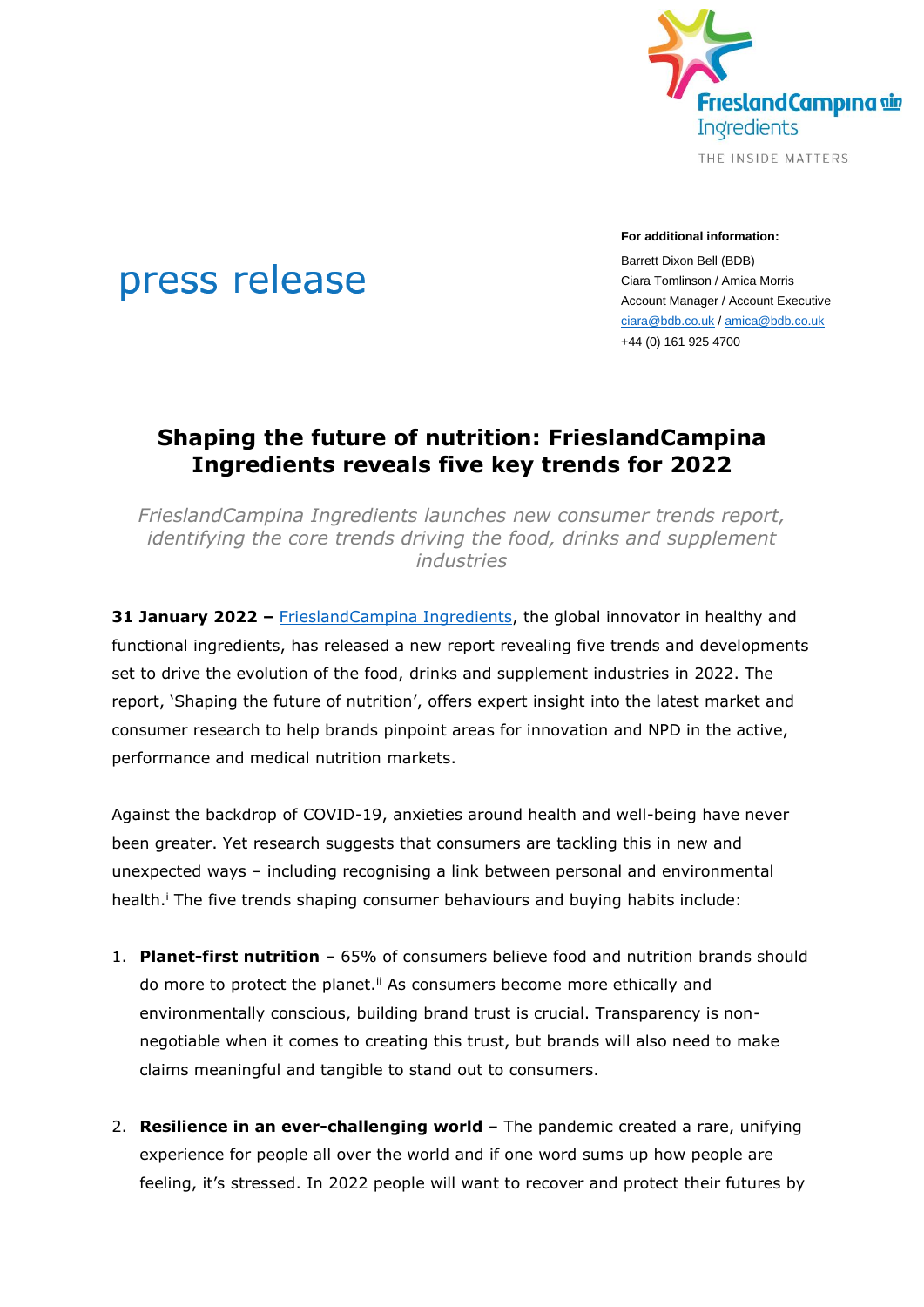

### **For additional information:**

Barrett Dixon Bell (BDB) Ciara Tomlinson / Amica Morris Account Manager / Account Executive [ciara@bdb.co.uk](mailto:ciara@bdb.co.uk) / [amica@bdb.co.uk](mailto:amica@bdb.co.uk) +44 (0) 161 925 4700

# **Shaping the future of nutrition: FrieslandCampina Ingredients reveals five key trends for 2022**

*FrieslandCampina Ingredients launches new consumer trends report, identifying the core trends driving the food, drinks and supplement industries*

**31 January 2022** – [FrieslandCampina Ingredients,](https://www.frieslandcampinaingredients.com/) the global innovator in healthy and functional ingredients, has released a new report revealing five trends and developments set to drive the evolution of the food, drinks and supplement industries in 2022. The report, 'Shaping the future of nutrition', offers expert insight into the latest market and consumer research to help brands pinpoint areas for innovation and NPD in the active, performance and medical nutrition markets.

Against the backdrop of COVID-19, anxieties around health and well-being have never been greater. Yet research suggests that consumers are tackling this in new and unexpected ways – including recognising a link between personal and environmental health.<sup>i</sup> The five trends shaping consumer behaviours and buying habits include:

- <span id="page-0-1"></span><span id="page-0-0"></span>1. **Planet-first nutrition** – 65% of consumers believe food and nutrition brands should do more to protect the planet.<sup>ii</sup> As consumers become more ethically and environmentally conscious, building brand trust is crucial. Transparency is nonnegotiable when it comes to creating this trust, but brands will also need to make claims meaningful and tangible to stand out to consumers.
- 2. **Resilience in an ever-challenging world** The pandemic created a rare, unifying experience for people all over the world and if one word sums up how people are feeling, it's stressed. In 2022 people will want to recover and protect their futures by

# press release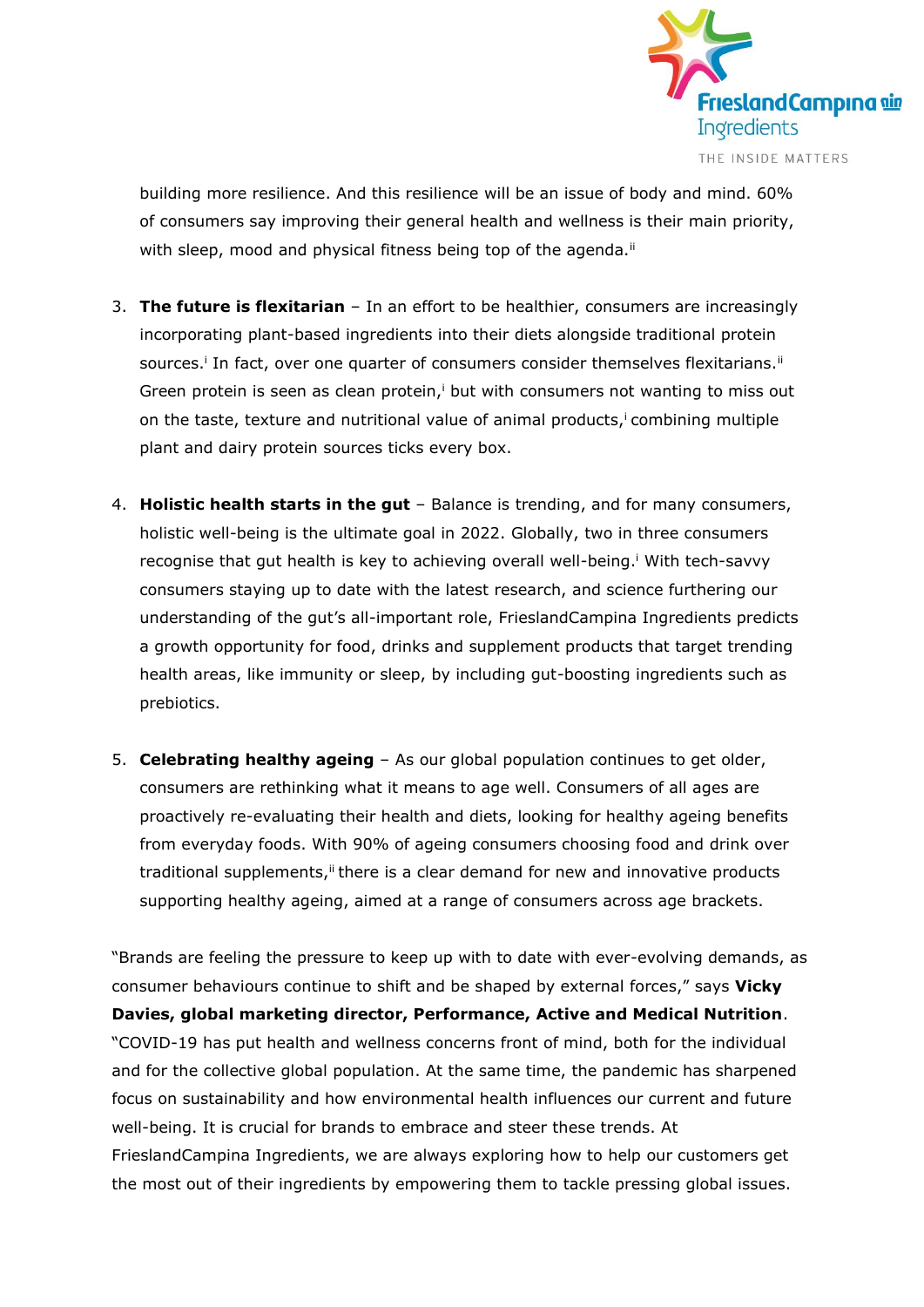

building more resilience. And this resilience will be an issue of body and mind. 60% of consumers say improving their general health and wellness is their main priority, with sleep, mood and physical fitness being top of the agenda.<sup>[ii](#page-0-0)</sup>

- 3. **The future is flexitarian** In an effort to be healthier, consumers are increasingly incorporating plant-based ingredients into their diets alongside traditional protein sources[.](#page-0-1)<sup>i</sup> In fact, over one quarter of consumers consider themselves flexitarians.<sup>[ii](#page-0-0)</sup> Green protein is seen as clean protein[,](#page-0-1) $\mathbf{i}$  but with consumers not wanting to miss out on the taste[,](#page-0-1) texture and nutritional value of animal products,<sup>i</sup> combining multiple plant and dairy protein sources ticks every box.
- 4. **Holistic health starts in the gut** Balance is trending, and for many consumers, holistic well-being is the ultimate goal in 2022. Globally, two in three consumers recognise that gut health is key to achieving overall well-being[.](#page-0-1)<sup>i</sup> With tech-savvy consumers staying up to date with the latest research, and science furthering our understanding of the gut's all-important role, FrieslandCampina Ingredients predicts a growth opportunity for food, drinks and supplement products that target trending health areas, like immunity or sleep, by including gut-boosting ingredients such as prebiotics.
- 5. **Celebrating healthy ageing** As our global population continues to get older, consumers are rethinking what it means to age well. Consumers of all ages are proactively re-evaluating their health and diets, looking for healthy ageing benefits from everyday foods. With 90% of ageing consumers choosing food and drink over traditional supplements,<sup>[ii](#page-0-0)</sup> there is a clear demand for new and innovative products supporting healthy ageing, aimed at a range of consumers across age brackets.

"Brands are feeling the pressure to keep up with to date with ever-evolving demands, as consumer behaviours continue to shift and be shaped by external forces," says **Vicky Davies, global marketing director, Performance, Active and Medical Nutrition**. "COVID-19 has put health and wellness concerns front of mind, both for the individual and for the collective global population. At the same time, the pandemic has sharpened focus on sustainability and how environmental health influences our current and future well-being. It is crucial for brands to embrace and steer these trends. At FrieslandCampina Ingredients, we are always exploring how to help our customers get the most out of their ingredients by empowering them to tackle pressing global issues.